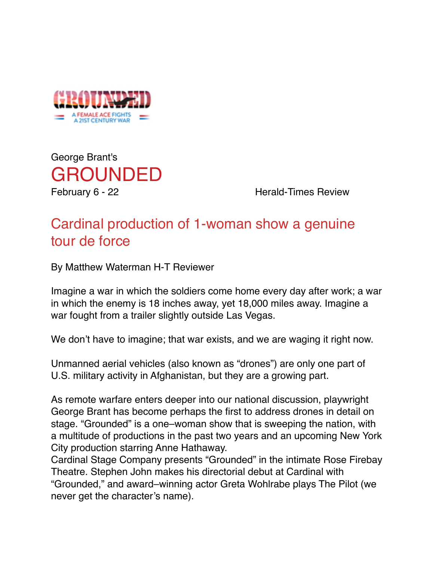

George Brant's [GROUNDED](http://www.cardinalstage.org/plays/2014-2015-season/grounded/overview/)

February 6 - 22 Herald-Times Review

## Cardinal production of 1-woman show a genuine tour de force

By Matthew Waterman H-T Reviewer

Imagine a war in which the soldiers come home every day after work; a war in which the enemy is 18 inches away, yet 18,000 miles away. Imagine a war fought from a trailer slightly outside Las Vegas.

We don't have to imagine; that war exists, and we are waging it right now.

Unmanned aerial vehicles (also known as "drones") are only one part of U.S. military activity in Afghanistan, but they are a growing part.

As remote warfare enters deeper into our national discussion, playwright George Brant has become perhaps the first to address drones in detail on stage. "Grounded" is a one–woman show that is sweeping the nation, with a multitude of productions in the past two years and an upcoming New York City production starring Anne Hathaway.

Cardinal Stage Company presents "Grounded" in the intimate Rose Firebay Theatre. Stephen John makes his directorial debut at Cardinal with "Grounded," and award–winning actor Greta Wohlrabe plays The Pilot (we never get the character's name).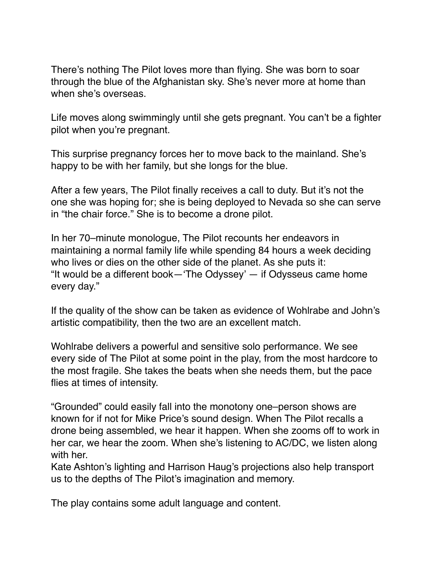There's nothing The Pilot loves more than flying. She was born to soar through the blue of the Afghanistan sky. She's never more at home than when she's overseas.

Life moves along swimmingly until she gets pregnant. You can't be a fighter pilot when you're pregnant.

This surprise pregnancy forces her to move back to the mainland. She's happy to be with her family, but she longs for the blue.

After a few years, The Pilot finally receives a call to duty. But it's not the one she was hoping for; she is being deployed to Nevada so she can serve in "the chair force." She is to become a drone pilot.

In her 70–minute monologue, The Pilot recounts her endeavors in maintaining a normal family life while spending 84 hours a week deciding who lives or dies on the other side of the planet. As she puts it: "It would be a different book—'The Odyssey'  $-$  if Odysseus came home every day."

If the quality of the show can be taken as evidence of Wohlrabe and John's artistic compatibility, then the two are an excellent match.

Wohlrabe delivers a powerful and sensitive solo performance. We see every side of The Pilot at some point in the play, from the most hardcore to the most fragile. She takes the beats when she needs them, but the pace flies at times of intensity.

"Grounded" could easily fall into the monotony one–person shows are known for if not for Mike Price's sound design. When The Pilot recalls a drone being assembled, we hear it happen. When she zooms off to work in her car, we hear the zoom. When she's listening to AC/DC, we listen along with her.

Kate Ashton's lighting and Harrison Haug's projections also help transport us to the depths of The Pilot's imagination and memory.

The play contains some adult language and content.